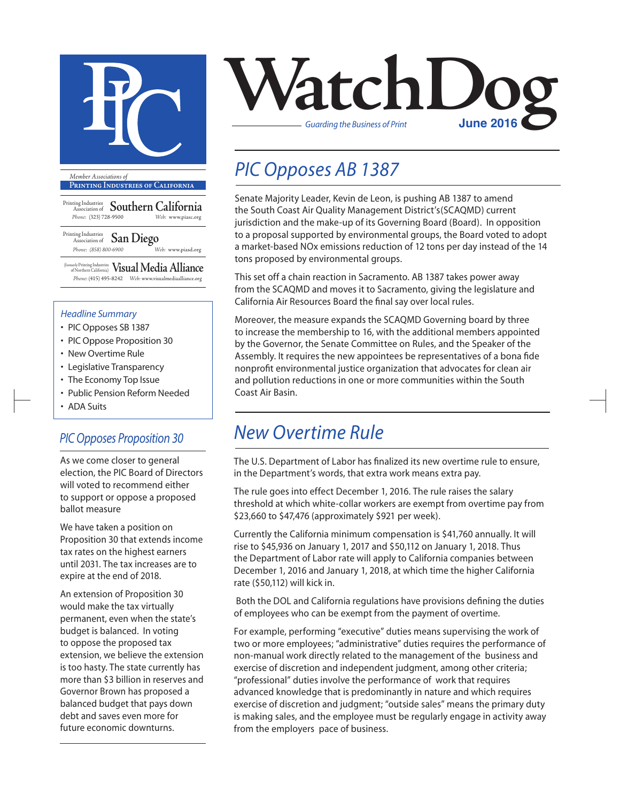

**Printing Industries of California**

Printing Industries Association of **Southern California** *Phone:* (323) 728-9500 *Web:* www.piasc.org

Printing Industries Association of **San Diego** *Phone: (858) 800-6900 Web:* www.piasd.org

(formerly Printing Industries of Northern California) **Visual Media Alliance** *Phone:* (415) 495-8242 *Web:* www.visualmediaalliance.org

#### *Headline Summary*

- PIC Opposes SB 1387
- PIC Oppose Proposition 30
- New Overtime Rule
- Legislative Transparency
- The Economy Top Issue
- Public Pension Reform Needed
- ADA Suits

### *PIC Opposes Proposition 30*

As we come closer to general election, the PIC Board of Directors will voted to recommend either to support or oppose a proposed ballot measure

We have taken a position on Proposition 30 that extends income tax rates on the highest earners until 2031. The tax increases are to expire at the end of 2018.

An extension of Proposition 30 would make the tax virtually permanent, even when the state's budget is balanced. In voting to oppose the proposed tax extension, we believe the extension is too hasty. The state currently has more than \$3 billion in reserves and Governor Brown has proposed a balanced budget that pays down debt and saves even more for future economic downturns.



## *PIC Opposes AB 1387*

Senate Majority Leader, Kevin de Leon, is pushing AB 1387 to amend the South Coast Air Quality Management District's(SCAQMD) current jurisdiction and the make-up of its Governing Board (Board). In opposition to a proposal supported by environmental groups, the Board voted to adopt a market-based NOx emissions reduction of 12 tons per day instead of the 14 tons proposed by environmental groups.

This set off a chain reaction in Sacramento. AB 1387 takes power away from the SCAQMD and moves it to Sacramento, giving the legislature and California Air Resources Board the final say over local rules.

Moreover, the measure expands the SCAQMD Governing board by three to increase the membership to 16, with the additional members appointed by the Governor, the Senate Committee on Rules, and the Speaker of the Assembly. It requires the new appointees be representatives of a bona fide nonprofit environmental justice organization that advocates for clean air and pollution reductions in one or more communities within the South Coast Air Basin.

## *New Overtime Rule*

The U.S. Department of Labor has finalized its new overtime rule to ensure, in the Department's words, that extra work means extra pay.

The rule goes into effect December 1, 2016. The rule raises the salary threshold at which white-collar workers are exempt from overtime pay from \$23,660 to \$47,476 (approximately \$921 per week).

Currently the California minimum compensation is \$41,760 annually. It will rise to \$45,936 on January 1, 2017 and \$50,112 on January 1, 2018. Thus the Department of Labor rate will apply to California companies between December 1, 2016 and January 1, 2018, at which time the higher California rate (\$50,112) will kick in.

 Both the DOL and California regulations have provisions defining the duties of employees who can be exempt from the payment of overtime.

For example, performing "executive" duties means supervising the work of two or more employees; "administrative" duties requires the performance of non-manual work directly related to the management of the business and exercise of discretion and independent judgment, among other criteria; "professional" duties involve the performance of work that requires advanced knowledge that is predominantly in nature and which requires exercise of discretion and judgment; "outside sales" means the primary duty is making sales, and the employee must be regularly engage in activity away from the employers pace of business.